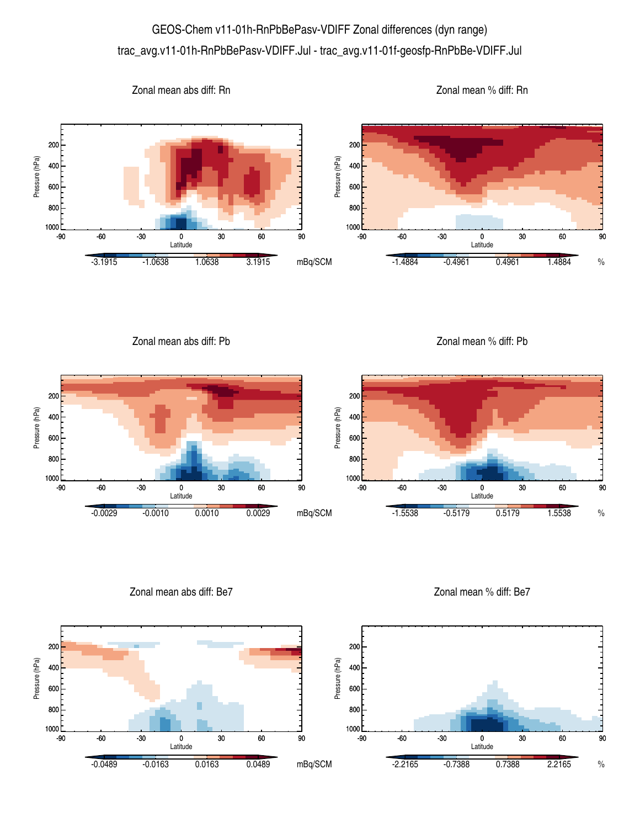## GEOS-Chem v11-01h-RnPbBePasv-VDIFF Zonal differences (dyn range) trac\_avg.v11-01h-RnPbBePasv-VDIFF.Jul - trac\_avg.v11-01f-geosfp-RnPbBe-VDIFF.Jul



Zonal mean abs diff: Pb

Zonal mean % diff: Pb



Zonal mean abs diff: Be7